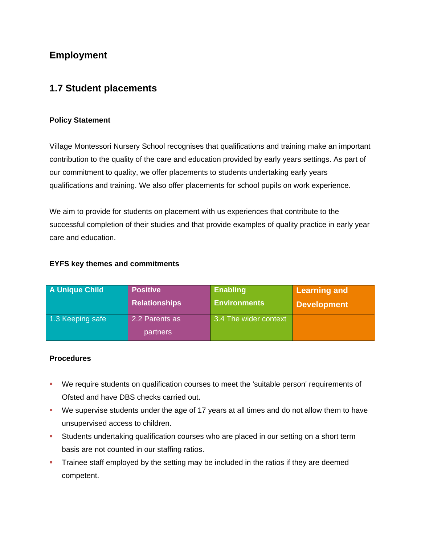# **Employment**

## **1.7 Student placements**

### **Policy Statement**

Village Montessori Nursery School recognises that qualifications and training make an important contribution to the quality of the care and education provided by early years settings. As part of our commitment to quality, we offer placements to students undertaking early years qualifications and training. We also offer placements for school pupils on work experience.

We aim to provide for students on placement with us experiences that contribute to the successful completion of their studies and that provide examples of quality practice in early year care and education.

### **EYFS key themes and commitments**

| A Unique Child   | <b>Positive</b>      | <b>Enabling</b>       | Learning and       |
|------------------|----------------------|-----------------------|--------------------|
|                  | <b>Relationships</b> | <b>Environments</b>   | <b>Development</b> |
| 1.3 Keeping safe | 2.2 Parents as       | 3.4 The wider context |                    |
|                  | <b>partners</b>      |                       |                    |

#### **Procedures**

- We require students on qualification courses to meet the 'suitable person' requirements of Ofsted and have DBS checks carried out.
- We supervise students under the age of 17 years at all times and do not allow them to have unsupervised access to children.
- Students undertaking qualification courses who are placed in our setting on a short term basis are not counted in our staffing ratios.
- Trainee staff employed by the setting may be included in the ratios if they are deemed competent.